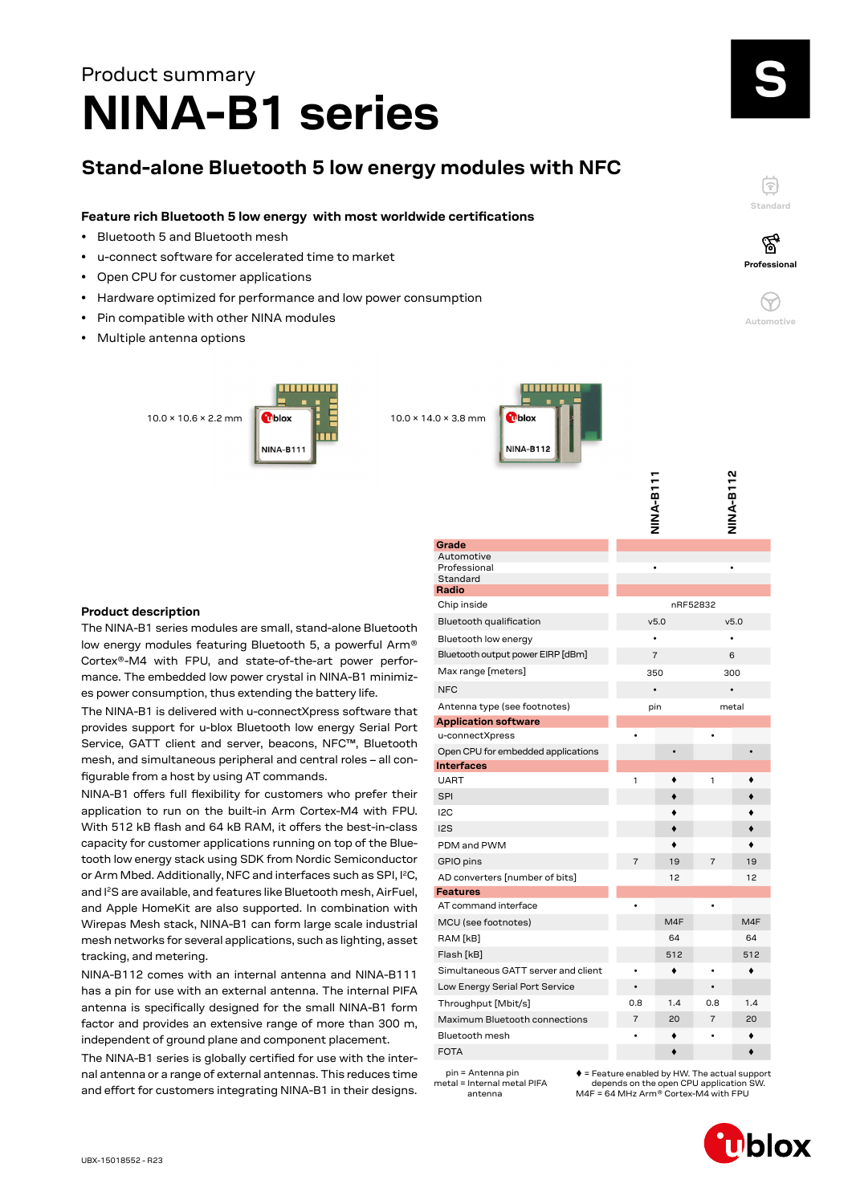# **NINA-B1 series** Product summary

# **Stand-alone Bluetooth 5 low energy modules with NFC**

# **Feature rich Bluetooth 5 low energy with most worldwide certifications**

- Bluetooth 5 and Bluetooth mesh
- u-connect software for accelerated time to market
- Open CPU for customer applications
- Hardware optimized for performance and low power consumption
- Pin compatible with other NINA modules
- Multiple antenna options

10.0 × 10.6 × 2.2 mm 10.0 × 14.0 × 3.8 mm NINA-R111



## **Product description**

The NINA-B1 series modules are small, stand-alone Bluetooth low energy modules featuring Bluetooth 5, a powerful Arm® Cortex®-M4 with FPU, and state-of-the-art power performance. The embedded low power crystal in NINA-B1 minimizes power consumption, thus extending the battery life.

The NINA-B1 is delivered with u-connectXpress software that provides support for u-blox Bluetooth low energy Serial Port Service, GATT client and server, beacons, NFC™, Bluetooth mesh, and simultaneous peripheral and central roles – all configurable from a host by using AT commands.

NINA-B1 offers full flexibility for customers who prefer their application to run on the built-in Arm Cortex-M4 with FPU. With 512 kB flash and 64 kB RAM, it offers the best-in-class capacity for customer applications running on top of the Bluetooth low energy stack using SDK from Nordic Semiconductor or Arm Mbed. Additionally, NFC and interfaces such as SPI, I<sup>2</sup>C, and I2S are available, and features like Bluetooth mesh, AirFuel, and Apple HomeKit are also supported. In combination with Wirepas Mesh stack, NINA-B1 can form large scale industrial mesh networks for several applications, such as lighting, asset tracking, and metering.

NINA-B112 comes with an internal antenna and NINA-B111 has a pin for use with an external antenna. The internal PIFA antenna is specifically designed for the small NINA-B1 form factor and provides an extensive range of more than 300 m, independent of ground plane and component placement.

The NINA-B1 series is globally certified for use with the internal antenna or a range of external antennas. This reduces time and effort for customers integrating NINA-B1 in their designs.

|                                     | TTB-A-B11      |          |                | NINA-B112 |
|-------------------------------------|----------------|----------|----------------|-----------|
| Grade                               |                |          |                |           |
| Automotive<br>Professional          |                |          |                |           |
| Standard                            |                |          |                |           |
| Radio                               |                |          |                |           |
| Chip inside                         |                | nRF52832 |                |           |
| Bluetooth qualification             |                | v5.0     |                | v5.0      |
| Bluetooth low energy                | $\bullet$      |          |                |           |
| Bluetooth output power EIRP [dBm]   |                | 7        |                | 6         |
| Max range [meters]                  |                | 350      |                | 300       |
| <b>NFC</b>                          |                |          |                |           |
| Antenna type (see footnotes)        |                | pin      |                | metal     |
| <b>Application software</b>         |                |          |                |           |
| u-connectXpress                     |                |          |                |           |
| Open CPU for embedded applications  |                |          |                |           |
| Interfaces                          |                |          |                |           |
| <b>UART</b>                         | 1              |          | 1              |           |
| <b>SPI</b>                          |                |          |                |           |
| I <sub>2</sub> C                    |                |          |                |           |
| 12S                                 |                | ٠        |                |           |
| PDM and PWM                         |                |          |                |           |
| GPIO pins                           | $\overline{7}$ | 19       | $\overline{7}$ | 19        |
| AD converters [number of bits]      |                | 12       |                | 12        |
| Features                            |                |          |                |           |
| AT command interface                |                |          |                |           |
| MCU (see footnotes)                 |                | M4F      |                | M4F       |
| RAM [kB]                            |                | 64       |                | 64        |
| Flash [kB]                          |                | 512      |                | 512       |
| Simultaneous GATT server and client |                |          |                |           |
| Low Energy Serial Port Service      |                |          |                |           |
| Throughput [Mbit/s]                 | 0.8            | 1.4      | 0.8            | 1.4       |
| Maximum Bluetooth connections       | 7              | 20       | 7              | 20        |
| Bluetooth mesh                      |                |          |                |           |
| FOTA                                |                |          |                |           |

 pin = Antenna pin metal = Internal metal PIFA antenna

 $\triangle$  = Feature enabled by HW. The actual support depends on the open CPU application M4F = 64 MHz Arm® Cortex-M4 with FPU

**Standard**

F

**Professional**

′ିବୁ

**Automotive**

 $\approx$